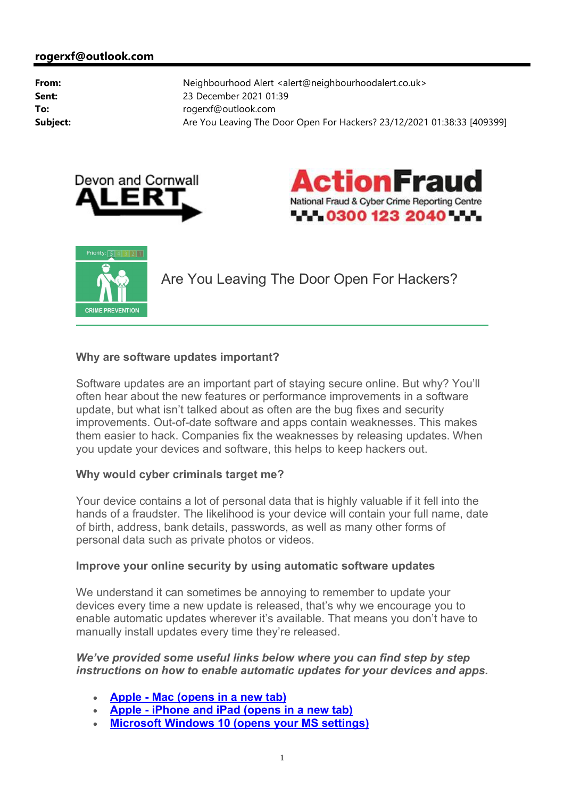





Are You Leaving The Door Open For Hackers?

## **Why are software updates important?**

Software updates are an important part of staying secure online. But why? You'll often hear about the new features or performance improvements in a software update, but what isn't talked about as often are the bug fixes and security improvements. Out-of-date software and apps contain weaknesses. This makes them easier to hack. Companies fix the weaknesses by releasing updates. When you update your devices and software, this helps to keep hackers out.

## **Why would cyber criminals target me?**

Your device contains a lot of personal data that is highly valuable if it fell into the hands of a fraudster. The likelihood is your device will contain your full name, date of birth, address, bank details, passwords, as well as many other forms of personal data such as private photos or videos.

## **Improve your online security by using automatic software updates**

We understand it can sometimes be annoying to remember to update your devices every time a new update is released, that's why we encourage you to enable automatic updates wherever it's available. That means you don't have to manually install updates every time they're released.

## *We've provided some useful links below where you can find step by step instructions on how to enable automatic updates for your devices and apps.*

- **Apple - Mac (opens in a new tab)**
- **Apple - iPhone and iPad (opens in a new tab)**
- **Microsoft Windows 10 (opens your MS settings)**